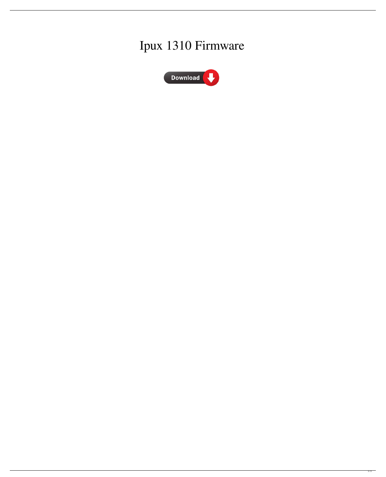## Ipux 1310 Firmware



 $\overline{1/2}$